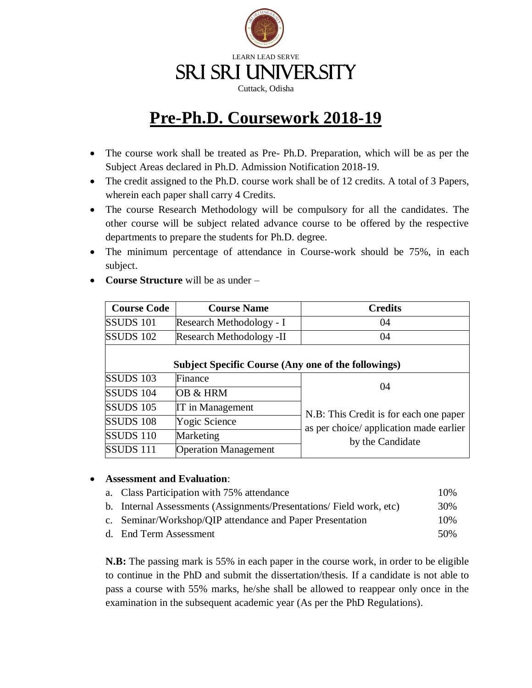

# **Pre-Ph.D. Coursework 2018-19**

- The course work shall be treated as Pre- Ph.D. Preparation, which will be as per the Subject Areas declared in Ph.D. Admission Notification 2018-19.
- The credit assigned to the Ph.D. course work shall be of 12 credits. A total of 3 Papers, wherein each paper shall carry 4 Credits.
- The course Research Methodology will be compulsory for all the candidates. The other course will be subject related advance course to be offered by the respective departments to prepare the students for Ph.D. degree.
- The minimum percentage of attendance in Course-work should be 75%, in each subject.

| <b>Course Code</b>                                         | <b>Course Name</b>          | <b>Credits</b>                                                                                              |  |  |
|------------------------------------------------------------|-----------------------------|-------------------------------------------------------------------------------------------------------------|--|--|
| SSUDS 101                                                  | Research Methodology - I    | 04                                                                                                          |  |  |
| SSUDS 102                                                  | Research Methodology -II    | 04                                                                                                          |  |  |
| <b>Subject Specific Course (Any one of the followings)</b> |                             |                                                                                                             |  |  |
| <b>SSUDS</b> 103                                           | Finance                     |                                                                                                             |  |  |
| <b>SSUDS 104</b>                                           | OB & HRM                    | 04<br>N.B: This Credit is for each one paper<br>as per choice/ application made earlier<br>by the Candidate |  |  |
| SSUDS 105                                                  | IT in Management            |                                                                                                             |  |  |
| SSUDS 108                                                  | Yogic Science               |                                                                                                             |  |  |
| <b>SSUDS</b> 110                                           | Marketing                   |                                                                                                             |  |  |
| SSUDS 111                                                  | <b>Operation Management</b> |                                                                                                             |  |  |

**Course Structure** will be as under –

# **Assessment and Evaluation**:

| a. Class Participation with 75% attendance                          | 10% |
|---------------------------------------------------------------------|-----|
| b. Internal Assessments (Assignments/Presentations/Field work, etc) | 30% |
| c. Seminar/Workshop/QIP attendance and Paper Presentation           | 10% |
| d. End Term Assessment                                              | 50% |

**N.B:** The passing mark is 55% in each paper in the course work, in order to be eligible to continue in the PhD and submit the dissertation/thesis. If a candidate is not able to pass a course with 55% marks, he/she shall be allowed to reappear only once in the examination in the subsequent academic year (As per the PhD Regulations).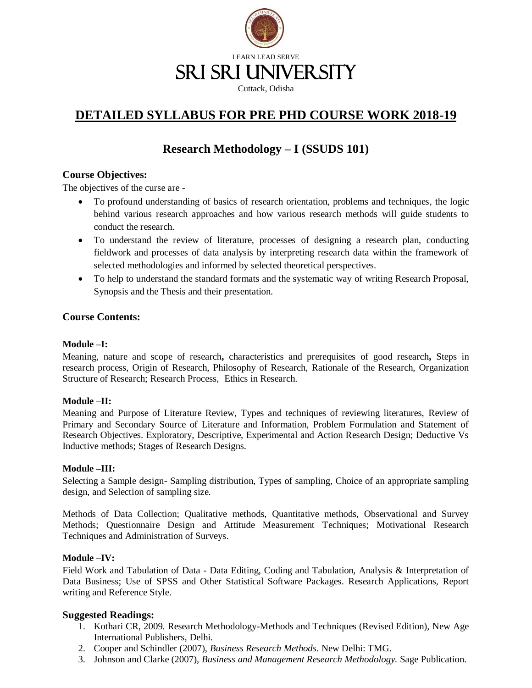

# **DETAILED SYLLABUS FOR PRE PHD COURSE WORK 2018-19**

# **Research Methodology – I (SSUDS 101)**

# **Course Objectives:**

The objectives of the curse are -

- To profound understanding of basics of research orientation, problems and techniques, the logic behind various research approaches and how various research methods will guide students to conduct the research.
- To understand the review of literature, processes of designing a research plan, conducting fieldwork and processes of data analysis by interpreting research data within the framework of selected methodologies and informed by selected theoretical perspectives.
- To help to understand the standard formats and the systematic way of writing Research Proposal, Synopsis and the Thesis and their presentation.

# **Course Contents:**

#### **Module –I:**

Meaning, nature and scope of research**,** characteristics and prerequisites of good research**,** Steps in research process, Origin of Research, Philosophy of Research, Rationale of the Research, Organization Structure of Research; Research Process, Ethics in Research.

#### **Module –II:**

Meaning and Purpose of Literature Review, Types and techniques of reviewing literatures, Review of Primary and Secondary Source of Literature and Information, Problem Formulation and Statement of Research Objectives. Exploratory, Descriptive, Experimental and Action Research Design; Deductive Vs Inductive methods; Stages of Research Designs.

#### **Module –III:**

Selecting a Sample design- Sampling distribution, Types of sampling, Choice of an appropriate sampling design, and Selection of sampling size.

Methods of Data Collection; Qualitative methods, Quantitative methods, Observational and Survey Methods; Questionnaire Design and Attitude Measurement Techniques; Motivational Research Techniques and Administration of Surveys.

#### **Module –IV:**

Field Work and Tabulation of Data - Data Editing, Coding and Tabulation, Analysis & Interpretation of Data Business; Use of SPSS and Other Statistical Software Packages. Research Applications, Report writing and Reference Style.

- 1. Kothari CR, 2009. Research Methodology-Methods and Techniques (Revised Edition), New Age International Publishers, Delhi.
- 2. Cooper and Schindler (2007), *Business Research Methods.* New Delhi: TMG.
- 3. Johnson and Clarke (2007), *Business and Management Research Methodology.* Sage Publication.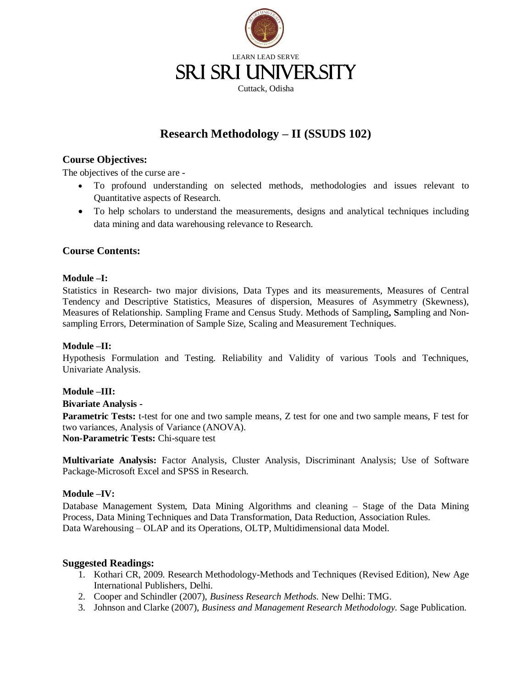

# **Research Methodology – II (SSUDS 102)**

# **Course Objectives:**

The objectives of the curse are -

- To profound understanding on selected methods, methodologies and issues relevant to Quantitative aspects of Research.
- To help scholars to understand the measurements, designs and analytical techniques including data mining and data warehousing relevance to Research.

# **Course Contents:**

#### **Module –I:**

Statistics in Research- two major divisions, Data Types and its measurements, Measures of Central Tendency and Descriptive Statistics, Measures of dispersion, Measures of Asymmetry (Skewness), Measures of Relationship. Sampling Frame and Census Study. Methods of Sampling**, S**ampling and Nonsampling Errors, Determination of Sample Size, Scaling and Measurement Techniques.

#### **Module –II:**

Hypothesis Formulation and Testing. Reliability and Validity of various Tools and Techniques, Univariate Analysis.

# **Module –III:**

#### **Bivariate Analysis -**

**Parametric Tests:** t-test for one and two sample means, Z test for one and two sample means, F test for two variances, Analysis of Variance (ANOVA).

**Non-Parametric Tests:** Chi-square test

**Multivariate Analysis:** Factor Analysis, Cluster Analysis, Discriminant Analysis; Use of Software Package-Microsoft Excel and SPSS in Research.

#### **Module –IV:**

Database Management System, Data Mining Algorithms and cleaning – Stage of the Data Mining Process, Data Mining Techniques and Data Transformation, Data Reduction, Association Rules. Data Warehousing – OLAP and its Operations, OLTP, Multidimensional data Model.

- 1. Kothari CR, 2009. Research Methodology-Methods and Techniques (Revised Edition), New Age International Publishers, Delhi.
- 2. Cooper and Schindler (2007), *Business Research Methods.* New Delhi: TMG.
- 3. Johnson and Clarke (2007), *Business and Management Research Methodology.* Sage Publication.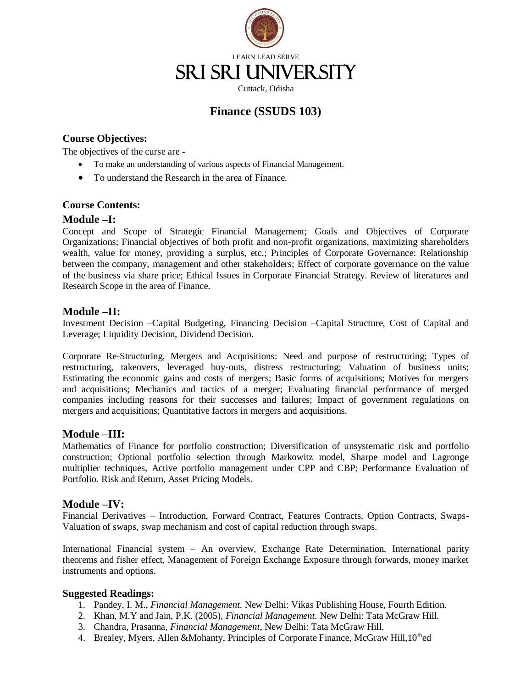

# **Finance (SSUDS 103)**

# **Course Objectives:**

The objectives of the curse are -

- To make an understanding of various aspects of Financial Management.
- To understand the Research in the area of Finance.

# **Course Contents:**

# **Module –I:**

Concept and Scope of Strategic Financial Management; Goals and Objectives of Corporate Organizations; Financial objectives of both profit and non-profit organizations, maximizing shareholders wealth, value for money, providing a surplus, etc.; Principles of Corporate Governance: Relationship between the company, management and other stakeholders; Effect of corporate governance on the value of the business via share price; Ethical Issues in Corporate Financial Strategy. Review of literatures and Research Scope in the area of Finance.

# **Module –II:**

Investment Decision –Capital Budgeting, Financing Decision –Capital Structure, Cost of Capital and Leverage; Liquidity Decision, Dividend Decision.

Corporate Re-Structuring, Mergers and Acquisitions: Need and purpose of restructuring; Types of restructuring, takeovers, leveraged buy-outs, distress restructuring; Valuation of business units; Estimating the economic gains and costs of mergers; Basic forms of acquisitions; Motives for mergers and acquisitions; Mechanics and tactics of a merger; Evaluating financial performance of merged companies including reasons for their successes and failures; Impact of government regulations on mergers and acquisitions; Quantitative factors in mergers and acquisitions.

# **Module –III:**

Mathematics of Finance for portfolio construction; Diversification of unsystematic risk and portfolio construction; Optional portfolio selection through Markowitz model, Sharpe model and Lagronge multiplier techniques, Active portfolio management under CPP and CBP; Performance Evaluation of Portfolio. Risk and Return, Asset Pricing Models.

# **Module –IV:**

Financial Derivatives – Introduction, Forward Contract, Features Contracts, Option Contracts, Swaps-Valuation of swaps, swap mechanism and cost of capital reduction through swaps.

International Financial system – An overview, Exchange Rate Determination, International parity theorems and fisher effect, Management of Foreign Exchange Exposure through forwards, money market instruments and options.

- 1. Pandey, I. M., *Financial Management*. New Delhi: Vikas Publishing House, Fourth Edition.
- 2. Khan, M.Y and Jain, P.K. (2005), *Financial Management.* New Delhi: Tata McGraw Hill.
- 3. Chandra, Prasanna, *Financial Management*, New Delhi: Tata McGraw Hill.
- 4. Brealey, Myers, Allen & Mohanty, Principles of Corporate Finance, McGraw Hill,  $10^{th}$ ed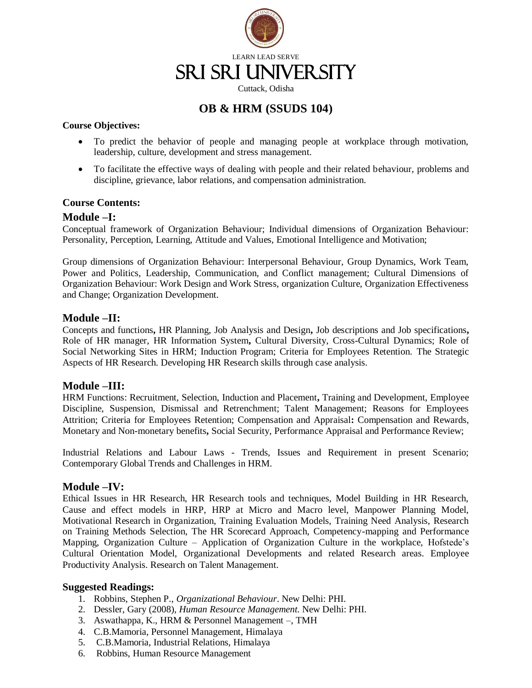

# **OB & HRM (SSUDS 104)**

#### **Course Objectives:**

- To predict the behavior of people and managing people at workplace through motivation, leadership, culture, development and stress management.
- To facilitate the effective ways of dealing with people and their related behaviour, problems and discipline, grievance, labor relations, and compensation administration.

#### **Course Contents:**

#### **Module –I:**

Conceptual framework of Organization Behaviour; Individual dimensions of Organization Behaviour: Personality, Perception, Learning, Attitude and Values, Emotional Intelligence and Motivation;

Group dimensions of Organization Behaviour: Interpersonal Behaviour, Group Dynamics, Work Team, Power and Politics, Leadership, Communication, and Conflict management; Cultural Dimensions of Organization Behaviour: Work Design and Work Stress, organization Culture, Organization Effectiveness and Change; Organization Development.

#### **Module –II:**

Concepts and functions**,** HR Planning, Job Analysis and Design**,** Job descriptions and Job specifications**,**  Role of HR manager, HR Information System**,** Cultural Diversity, Cross-Cultural Dynamics; Role of Social Networking Sites in HRM; Induction Program; Criteria for Employees Retention. The Strategic Aspects of HR Research. Developing HR Research skills through case analysis.

# **Module –III:**

HRM Functions: Recruitment, Selection, Induction and Placement**,** Training and Development, Employee Discipline, Suspension, Dismissal and Retrenchment; Talent Management; Reasons for Employees Attrition; Criteria for Employees Retention; Compensation and Appraisal**:** Compensation and Rewards, Monetary and Non-monetary benefits**,** Social Security, Performance Appraisal and Performance Review;

Industrial Relations and Labour Laws - Trends, Issues and Requirement in present Scenario; Contemporary Global Trends and Challenges in HRM.

# **Module –IV:**

Ethical Issues in HR Research, HR Research tools and techniques, Model Building in HR Research, Cause and effect models in HRP, HRP at Micro and Macro level, Manpower Planning Model, Motivational Research in Organization, Training Evaluation Models, Training Need Analysis, Research on Training Methods Selection, The HR Scorecard Approach, Competency-mapping and Performance Mapping, Organization Culture – Application of Organization Culture in the workplace, Hofstede's Cultural Orientation Model, Organizational Developments and related Research areas. Employee Productivity Analysis. Research on Talent Management.

- 1. Robbins, Stephen P., *Organizational Behaviour*. New Delhi: PHI.
- 2. Dessler, Gary (2008), *Human Resource Management.* New Delhi: PHI.
- 3. Aswathappa, K., HRM & Personnel Management –, TMH
- 4. C.B.Mamoria, Personnel Management, Himalaya
- 5. C.B.Mamoria, Industrial Relations, Himalaya
- 6. Robbins, Human Resource Management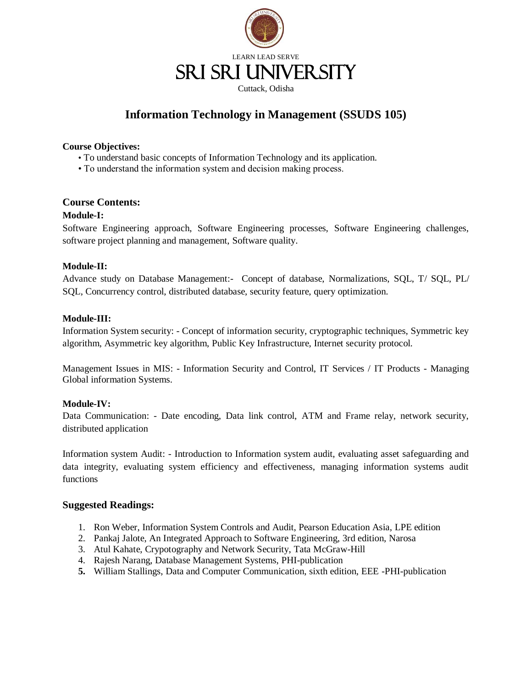

# **Information Technology in Management (SSUDS 105)**

#### **Course Objectives:**

- To understand basic concepts of Information Technology and its application.
- To understand the information system and decision making process.

# **Course Contents:**

#### **Module-I:**

Software Engineering approach, Software Engineering processes, Software Engineering challenges, software project planning and management, Software quality.

#### **Module-II:**

Advance study on Database Management:- Concept of database, Normalizations, SQL, T/ SQL, PL/ SQL, Concurrency control, distributed database, security feature, query optimization.

#### **Module-III:**

Information System security: - Concept of information security, cryptographic techniques, Symmetric key algorithm, Asymmetric key algorithm, Public Key Infrastructure, Internet security protocol.

Management Issues in MIS: - Information Security and Control, IT Services / IT Products - Managing Global information Systems.

#### **Module-IV:**

Data Communication: - Date encoding, Data link control, ATM and Frame relay, network security, distributed application

Information system Audit: - Introduction to Information system audit, evaluating asset safeguarding and data integrity, evaluating system efficiency and effectiveness, managing information systems audit functions

- 1. Ron Weber, Information System Controls and Audit, Pearson Education Asia, LPE edition
- 2. Pankaj Jalote, An Integrated Approach to Software Engineering, 3rd edition, Narosa
- 3. Atul Kahate, Crypotography and Network Security, Tata McGraw-Hill
- 4. Rajesh Narang, Database Management Systems, PHI-publication
- **5.** William Stallings, Data and Computer Communication, sixth edition, EEE -PHI-publication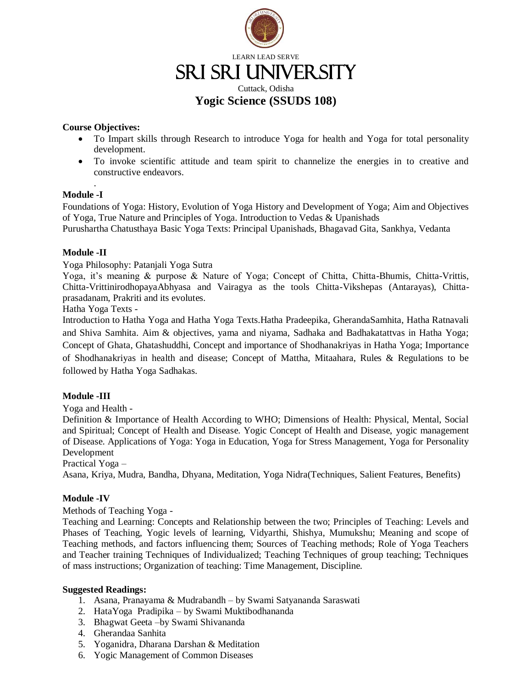

# **Course Objectives:**

- To Impart skills through Research to introduce Yoga for health and Yoga for total personality development.
- To invoke scientific attitude and team spirit to channelize the energies in to creative and constructive endeavors.

#### . **Module -I**

Foundations of Yoga: History, Evolution of Yoga History and Development of Yoga; Aim and Objectives of Yoga, True Nature and Principles of Yoga. Introduction to Vedas & Upanishads Purushartha Chatusthaya Basic Yoga Texts: Principal Upanishads, Bhagavad Gita, Sankhya, Vedanta

# **Module -II**

Yoga Philosophy: Patanjali Yoga Sutra

Yoga, it's meaning & purpose & Nature of Yoga; Concept of Chitta, Chitta-Bhumis, Chitta-Vrittis, Chitta-VrittinirodhopayaAbhyasa and Vairagya as the tools Chitta-Vikshepas (Antarayas), Chittaprasadanam, Prakriti and its evolutes.

Hatha Yoga Texts -

Introduction to Hatha Yoga and Hatha Yoga Texts.Hatha Pradeepika, GherandaSamhita, Hatha Ratnavali and Shiva Samhita. Aim & objectives, yama and niyama, Sadhaka and Badhakatattvas in Hatha Yoga; Concept of Ghata, Ghatashuddhi, Concept and importance of Shodhanakriyas in Hatha Yoga; Importance of Shodhanakriyas in health and disease; Concept of Mattha, Mitaahara, Rules & Regulations to be followed by Hatha Yoga Sadhakas.

# **Module -III**

Yoga and Health -

Definition & Importance of Health According to WHO; Dimensions of Health: Physical, Mental, Social and Spiritual; Concept of Health and Disease. Yogic Concept of Health and Disease, yogic management of Disease. Applications of Yoga: Yoga in Education, Yoga for Stress Management, Yoga for Personality Development

Practical Yoga –

Asana, Kriya, Mudra, Bandha, Dhyana, Meditation, Yoga Nidra(Techniques, Salient Features, Benefits)

#### **Module -IV**

Methods of Teaching Yoga -

Teaching and Learning: Concepts and Relationship between the two; Principles of Teaching: Levels and Phases of Teaching, Yogic levels of learning, Vidyarthi, Shishya, Mumukshu; Meaning and scope of Teaching methods, and factors influencing them; Sources of Teaching methods; Role of Yoga Teachers and Teacher training Techniques of Individualized; Teaching Techniques of group teaching; Techniques of mass instructions; Organization of teaching: Time Management, Discipline.

- 1. Asana, Pranayama & Mudrabandh by Swami Satyananda Saraswati
- 2. HataYoga Pradipika by Swami Muktibodhananda
- 3. Bhagwat Geeta –by Swami Shivananda
- 4. Gherandaa Sanhita
- 5. Yoganidra, Dharana Darshan & Meditation
- 6. Yogic Management of Common Diseases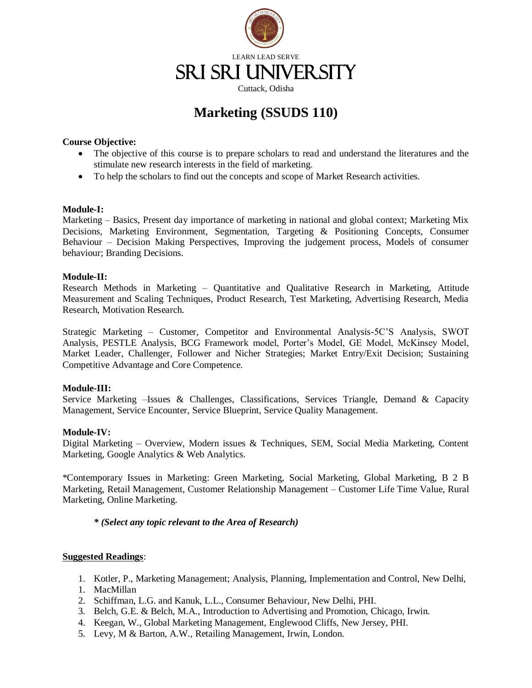

# **Marketing (SSUDS 110)**

#### **Course Objective:**

- The objective of this course is to prepare scholars to read and understand the literatures and the stimulate new research interests in the field of marketing.
- To help the scholars to find out the concepts and scope of Market Research activities.

#### **Module-I:**

Marketing – Basics, Present day importance of marketing in national and global context; Marketing Mix Decisions, Marketing Environment, Segmentation, Targeting & Positioning Concepts, Consumer Behaviour – Decision Making Perspectives, Improving the judgement process, Models of consumer behaviour; Branding Decisions.

#### **Module-II:**

Research Methods in Marketing – Quantitative and Qualitative Research in Marketing, Attitude Measurement and Scaling Techniques, Product Research, Test Marketing, Advertising Research, Media Research, Motivation Research.

Strategic Marketing – Customer, Competitor and Environmental Analysis-5C'S Analysis, SWOT Analysis, PESTLE Analysis, BCG Framework model, Porter's Model, GE Model, McKinsey Model, Market Leader, Challenger, Follower and Nicher Strategies; Market Entry/Exit Decision; Sustaining Competitive Advantage and Core Competence.

#### **Module-III:**

Service Marketing –Issues & Challenges, Classifications, Services Triangle, Demand & Capacity Management, Service Encounter, Service Blueprint, Service Quality Management.

#### **Module-IV:**

Digital Marketing – Overview, Modern issues & Techniques, SEM, Social Media Marketing, Content Marketing, Google Analytics & Web Analytics.

\*Contemporary Issues in Marketing: Green Marketing, Social Marketing, Global Marketing, B 2 B Marketing, Retail Management, Customer Relationship Management – Customer Life Time Value, Rural Marketing, Online Marketing.

#### *\* (Select any topic relevant to the Area of Research)*

- 1. Kotler, P., Marketing Management; Analysis, Planning, Implementation and Control, New Delhi,
- 1. MacMillan
- 2. Schiffman, L.G. and Kanuk, L.L., Consumer Behaviour, New Delhi, PHI.
- 3. Belch, G.E. & Belch, M.A., Introduction to Advertising and Promotion, Chicago, Irwin.
- 4. Keegan, W., Global Marketing Management, Englewood Cliffs, New Jersey, PHI.
- 5. Levy, M & Barton, A.W., Retailing Management, Irwin, London.